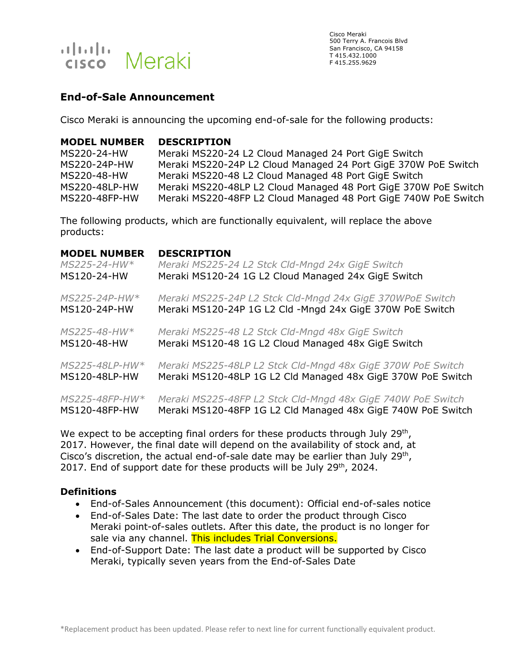

Cisco Meraki 500 Terry A. Francois Blvd San Francisco, CA 94158 T 415.432.1000 F 415.255.9629

# **End-of-Sale Announcement**

Cisco Meraki is announcing the upcoming end-of-sale for the following products:

#### **MODEL NUMBER DESCRIPTION**

MS220-24-HW Meraki MS220-24 L2 Cloud Managed 24 Port GigE Switch MS220-24P-HW Meraki MS220-24P L2 Cloud Managed 24 Port GigE 370W PoE Switch MS220-48-HW Meraki MS220-48 L2 Cloud Managed 48 Port GigE Switch MS220-48LP-HW Meraki MS220-48LP L2 Cloud Managed 48 Port GigE 370W PoE Switch MS220-48FP-HW Meraki MS220-48FP L2 Cloud Managed 48 Port GigE 740W PoE Switch

The following products, which are functionally equivalent, will replace the above products:

#### **MODEL NUMBER DESCRIPTION**

| MS225-24-HW*   | Meraki MS225-24 L2 Stck Cld-Mngd 24x GigE Switch             |
|----------------|--------------------------------------------------------------|
| MS120-24-HW    | Meraki MS120-24 1G L2 Cloud Managed 24x GigE Switch          |
| MS225-24P-HW*  | Meraki MS225-24P L2 Stck Cld-Mngd 24x GigE 370WPoE Switch    |
| MS120-24P-HW   | Meraki MS120-24P 1G L2 Cld -Mngd 24x GigE 370W PoE Switch    |
| MS225-48-HW*   | Meraki MS225-48 L2 Stck Cld-Mngd 48x GigE Switch             |
| MS120-48-HW    | Meraki MS120-48 1G L2 Cloud Managed 48x GigE Switch          |
| MS225-48LP-HW* | Meraki MS225-48LP L2 Stck Cld-Mngd 48x GigE 370W PoE Switch  |
| MS120-48LP-HW  | Meraki MS120-48LP 1G L2 Cld Managed 48x GigE 370W PoE Switch |
| MS225-48FP-HW* | Meraki MS225-48FP L2 Stck Cld-Mngd 48x GigE 740W PoE Switch  |
| MS120-48FP-HW  | Meraki MS120-48FP 1G L2 Cld Managed 48x GigE 740W PoE Switch |

We expect to be accepting final orders for these products through July 29<sup>th</sup>, 2017. However, the final date will depend on the availability of stock and, at Cisco's discretion, the actual end-of-sale date may be earlier than July  $29<sup>th</sup>$ , 2017. End of support date for these products will be July 29<sup>th</sup>, 2024.

### **Definitions**

- End-of-Sales Announcement (this document): Official end-of-sales notice
- End-of-Sales Date: The last date to order the product through Cisco Meraki point-of-sales outlets. After this date, the product is no longer for sale via any channel. This includes Trial Conversions.
- End-of-Support Date: The last date a product will be supported by Cisco Meraki, typically seven years from the End-of-Sales Date